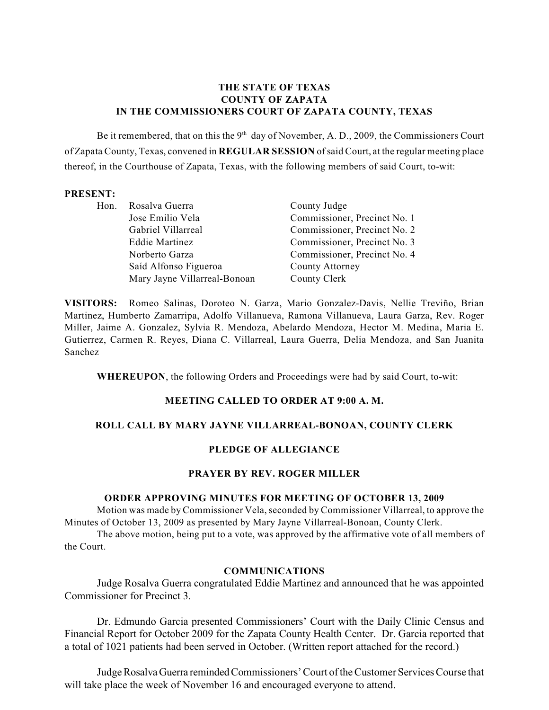#### **THE STATE OF TEXAS COUNTY OF ZAPATA IN THE COMMISSIONERS COURT OF ZAPATA COUNTY, TEXAS**

Be it remembered, that on this the 9<sup>th</sup> day of November, A. D., 2009, the Commissioners Court of Zapata County, Texas, convened in **REGULAR SESSION** of said Court, at the regular meeting place thereof, in the Courthouse of Zapata, Texas, with the following members of said Court, to-wit:

#### **PRESENT:**

| Hon. | Rosalva Guerra               | County Judge                 |
|------|------------------------------|------------------------------|
|      | Jose Emilio Vela             | Commissioner, Precinct No. 1 |
|      | Gabriel Villarreal           | Commissioner, Precinct No. 2 |
|      | <b>Eddie Martinez</b>        | Commissioner, Precinct No. 3 |
|      | Norberto Garza               | Commissioner, Precinct No. 4 |
|      | Saíd Alfonso Figueroa        | County Attorney              |
|      | Mary Jayne Villarreal-Bonoan | County Clerk                 |

**VISITORS:** Romeo Salinas, Doroteo N. Garza, Mario Gonzalez-Davis, Nellie Treviño, Brian Martinez, Humberto Zamarripa, Adolfo Villanueva, Ramona Villanueva, Laura Garza, Rev. Roger Miller, Jaime A. Gonzalez, Sylvia R. Mendoza, Abelardo Mendoza, Hector M. Medina, Maria E. Gutierrez, Carmen R. Reyes, Diana C. Villarreal, Laura Guerra, Delia Mendoza, and San Juanita Sanchez

**WHEREUPON**, the following Orders and Proceedings were had by said Court, to-wit:

#### **MEETING CALLED TO ORDER AT 9:00 A. M.**

#### **ROLL CALL BY MARY JAYNE VILLARREAL-BONOAN, COUNTY CLERK**

#### **PLEDGE OF ALLEGIANCE**

#### **PRAYER BY REV. ROGER MILLER**

#### **ORDER APPROVING MINUTES FOR MEETING OF OCTOBER 13, 2009**

Motion was made by Commissioner Vela, seconded by Commissioner Villarreal, to approve the Minutes of October 13, 2009 as presented by Mary Jayne Villarreal-Bonoan, County Clerk.

The above motion, being put to a vote, was approved by the affirmative vote of all members of the Court.

#### **COMMUNICATIONS**

Judge Rosalva Guerra congratulated Eddie Martinez and announced that he was appointed Commissioner for Precinct 3.

Dr. Edmundo Garcia presented Commissioners' Court with the Daily Clinic Census and Financial Report for October 2009 for the Zapata County Health Center. Dr. Garcia reported that a total of 1021 patients had been served in October. (Written report attached for the record.)

Judge Rosalva Guerra reminded Commissioners' Court of the Customer Services Course that will take place the week of November 16 and encouraged everyone to attend.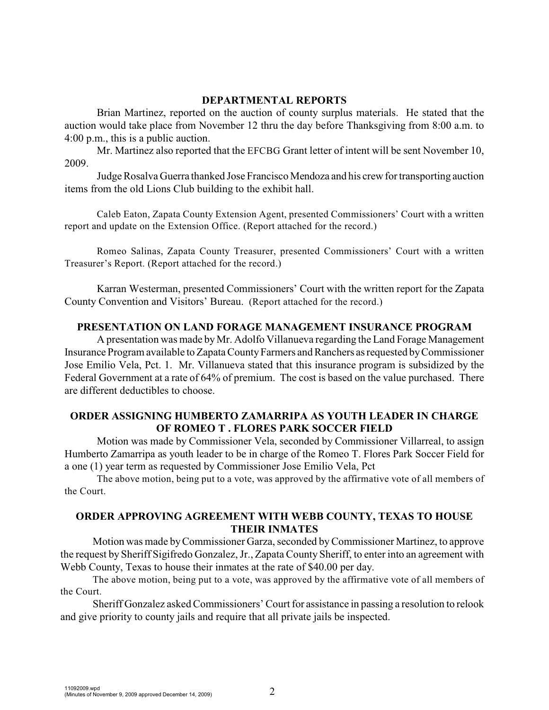#### **DEPARTMENTAL REPORTS**

Brian Martinez, reported on the auction of county surplus materials. He stated that the auction would take place from November 12 thru the day before Thanksgiving from 8:00 a.m. to 4:00 p.m., this is a public auction.

Mr. Martinez also reported that the EFCBG Grant letter of intent will be sent November 10, 2009.

Judge Rosalva Guerra thanked Jose Francisco Mendoza and his crew for transporting auction items from the old Lions Club building to the exhibit hall.

Caleb Eaton, Zapata County Extension Agent, presented Commissioners' Court with a written report and update on the Extension Office. (Report attached for the record.)

Romeo Salinas, Zapata County Treasurer, presented Commissioners' Court with a written Treasurer's Report. (Report attached for the record.)

Karran Westerman, presented Commissioners' Court with the written report for the Zapata County Convention and Visitors' Bureau. (Report attached for the record.)

### **PRESENTATION ON LAND FORAGE MANAGEMENT INSURANCE PROGRAM**

A presentation was made by Mr. Adolfo Villanueva regarding the Land Forage Management Insurance Program available to Zapata County Farmers and Ranchers as requested by Commissioner Jose Emilio Vela, Pct. 1. Mr. Villanueva stated that this insurance program is subsidized by the Federal Government at a rate of 64% of premium. The cost is based on the value purchased. There are different deductibles to choose.

### **ORDER ASSIGNING HUMBERTO ZAMARRIPA AS YOUTH LEADER IN CHARGE OF ROMEO T . FLORES PARK SOCCER FIELD**

Motion was made by Commissioner Vela, seconded by Commissioner Villarreal, to assign Humberto Zamarripa as youth leader to be in charge of the Romeo T. Flores Park Soccer Field for a one (1) year term as requested by Commissioner Jose Emilio Vela, Pct

The above motion, being put to a vote, was approved by the affirmative vote of all members of the Court.

# **ORDER APPROVING AGREEMENT WITH WEBB COUNTY, TEXAS TO HOUSE THEIR INMATES**

Motion was made by Commissioner Garza, seconded byCommissioner Martinez, to approve the request by Sheriff Sigifredo Gonzalez, Jr., Zapata County Sheriff, to enter into an agreement with Webb County, Texas to house their inmates at the rate of \$40.00 per day.

The above motion, being put to a vote, was approved by the affirmative vote of all members of the Court.

Sheriff Gonzalez asked Commissioners' Court for assistance in passing a resolution to relook and give priority to county jails and require that all private jails be inspected.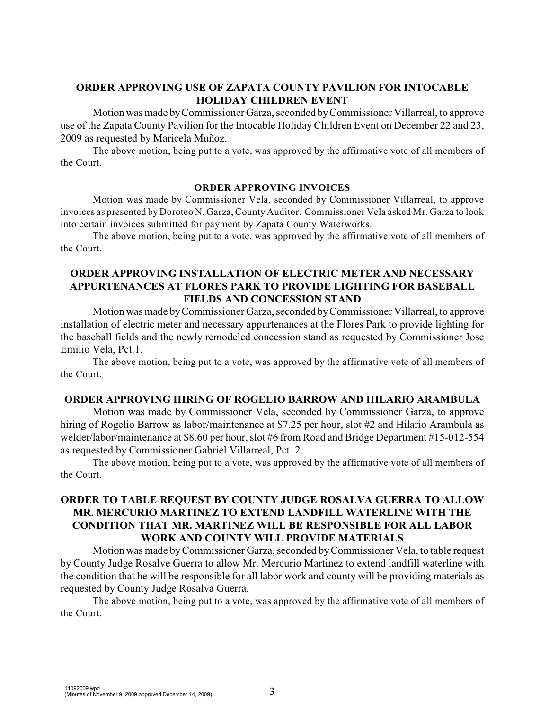### **ORDER APPROVING USE OF ZAPATA COUNTY PAVILION FOR INTOCABLE HOLIDAY CHILDREN EVENT**

Motion was made byCommissioner Garza, seconded byCommissioner Villarreal, to approve use of the Zapata County Pavilion for the Intocable Holiday Children Event on December 22 and 23, 2009 as requested by Maricela Muñoz.

The above motion, being put to a vote, was approved by the affirmative vote of all members of the Court.

#### **ORDER APPROVING INVOICES**

Motion was made by Commissioner Vela, seconded by Commissioner Villarreal, to approve invoices as presented by Doroteo N. Garza, County Auditor. Commissioner Vela asked Mr. Garza to look into certain invoices submitted for payment by Zapata County Waterworks.

The above motion, being put to a vote, was approved by the affirmative vote of all members of the Court.

# **ORDER APPROVING INSTALLATION OF ELECTRIC METER AND NECESSARY APPURTENANCES AT FLORES PARK TO PROVIDE LIGHTING FOR BASEBALL FIELDS AND CONCESSION STAND**

Motion was made byCommissioner Garza, seconded byCommissioner Villarreal, to approve installation of electric meter and necessary appurtenances at the Flores Park to provide lighting for the baseball fields and the newly remodeled concession stand as requested by Commissioner Jose Emilio Vela, Pct.1.

The above motion, being put to a vote, was approved by the affirmative vote of all members of the Court.

#### **ORDER APPROVING HIRING OF ROGELIO BARROW AND HILARIO ARAMBULA**

Motion was made by Commissioner Vela, seconded by Commissioner Garza, to approve hiring of Rogelio Barrow as labor/maintenance at \$7.25 per hour, slot #2 and Hilario Arambula as welder/labor/maintenance at \$8.60 per hour, slot #6 from Road and Bridge Department #15-012-554 as requested by Commissioner Gabriel Villarreal, Pct. 2.

The above motion, being put to a vote, was approved by the affirmative vote of all members of the Court.

# **ORDER TO TABLE REQUEST BY COUNTY JUDGE ROSALVA GUERRA TO ALLOW MR. MERCURIO MARTINEZ TO EXTEND LANDFILL WATERLINE WITH THE CONDITION THAT MR. MARTINEZ WILL BE RESPONSIBLE FOR ALL LABOR WORK AND COUNTY WILL PROVIDE MATERIALS**

Motion was made by Commissioner Garza, seconded by Commissioner Vela, to table request by County Judge Rosalve Guerra to allow Mr. Mercurio Martinez to extend landfill waterline with the condition that he will be responsible for all labor work and county will be providing materials as requested by County Judge Rosalva Guerra.

The above motion, being put to a vote, was approved by the affirmative vote of all members of the Court.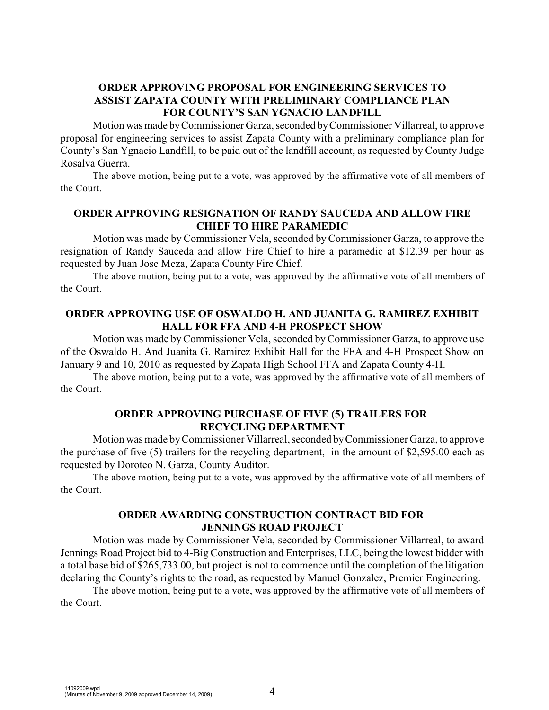# **ORDER APPROVING PROPOSAL FOR ENGINEERING SERVICES TO ASSIST ZAPATA COUNTY WITH PRELIMINARY COMPLIANCE PLAN FOR COUNTY'S SAN YGNACIO LANDFILL**

Motion was made byCommissioner Garza, seconded by Commissioner Villarreal, to approve proposal for engineering services to assist Zapata County with a preliminary compliance plan for County's San Ygnacio Landfill, to be paid out of the landfill account, as requested by County Judge Rosalva Guerra.

The above motion, being put to a vote, was approved by the affirmative vote of all members of the Court.

#### **ORDER APPROVING RESIGNATION OF RANDY SAUCEDA AND ALLOW FIRE CHIEF TO HIRE PARAMEDIC**

Motion was made by Commissioner Vela, seconded by Commissioner Garza, to approve the resignation of Randy Sauceda and allow Fire Chief to hire a paramedic at \$12.39 per hour as requested by Juan Jose Meza, Zapata County Fire Chief.

The above motion, being put to a vote, was approved by the affirmative vote of all members of the Court.

### **ORDER APPROVING USE OF OSWALDO H. AND JUANITA G. RAMIREZ EXHIBIT HALL FOR FFA AND 4-H PROSPECT SHOW**

Motion was made byCommissioner Vela, seconded byCommissioner Garza, to approve use of the Oswaldo H. And Juanita G. Ramirez Exhibit Hall for the FFA and 4-H Prospect Show on January 9 and 10, 2010 as requested by Zapata High School FFA and Zapata County 4-H.

The above motion, being put to a vote, was approved by the affirmative vote of all members of the Court.

# **ORDER APPROVING PURCHASE OF FIVE (5) TRAILERS FOR RECYCLING DEPARTMENT**

Motion was made byCommissioner Villarreal, seconded by Commissioner Garza, to approve the purchase of five (5) trailers for the recycling department, in the amount of \$2,595.00 each as requested by Doroteo N. Garza, County Auditor.

The above motion, being put to a vote, was approved by the affirmative vote of all members of the Court.

# **ORDER AWARDING CONSTRUCTION CONTRACT BID FOR JENNINGS ROAD PROJECT**

Motion was made by Commissioner Vela, seconded by Commissioner Villarreal, to award Jennings Road Project bid to 4-Big Construction and Enterprises, LLC, being the lowest bidder with a total base bid of \$265,733.00, but project is not to commence until the completion of the litigation declaring the County's rights to the road, as requested by Manuel Gonzalez, Premier Engineering.

The above motion, being put to a vote, was approved by the affirmative vote of all members of the Court.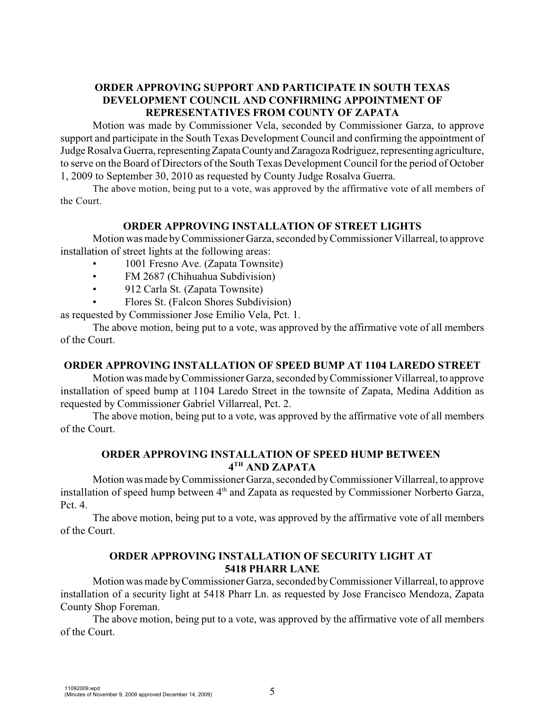# **ORDER APPROVING SUPPORT AND PARTICIPATE IN SOUTH TEXAS DEVELOPMENT COUNCIL AND CONFIRMING APPOINTMENT OF REPRESENTATIVES FROM COUNTY OF ZAPATA**

Motion was made by Commissioner Vela, seconded by Commissioner Garza, to approve support and participate in the South Texas Development Council and confirming the appointment of Judge Rosalva Guerra, representing Zapata County and Zaragoza Rodriguez, representing agriculture, to serve on the Board of Directors of the South Texas Development Council for the period of October 1, 2009 to September 30, 2010 as requested by County Judge Rosalva Guerra.

The above motion, being put to a vote, was approved by the affirmative vote of all members of the Court.

### **ORDER APPROVING INSTALLATION OF STREET LIGHTS**

Motion was made byCommissioner Garza, seconded by Commissioner Villarreal, to approve installation of street lights at the following areas:

- 1001 Fresno Ave. (Zapata Townsite)
- FM 2687 (Chihuahua Subdivision)
- 912 Carla St. (Zapata Townsite)
- Flores St. (Falcon Shores Subdivision)

as requested by Commissioner Jose Emilio Vela, Pct. 1.

The above motion, being put to a vote, was approved by the affirmative vote of all members of the Court.

# **ORDER APPROVING INSTALLATION OF SPEED BUMP AT 1104 LAREDO STREET**

Motion was made byCommissioner Garza, seconded by Commissioner Villarreal, to approve installation of speed bump at 1104 Laredo Street in the townsite of Zapata, Medina Addition as requested by Commissioner Gabriel Villarreal, Pct. 2.

The above motion, being put to a vote, was approved by the affirmative vote of all members of the Court.

# **ORDER APPROVING INSTALLATION OF SPEED HUMP BETWEEN**   $4^{\text{TH}}$  AND ZAPATA

Motion was made byCommissioner Garza, seconded by Commissioner Villarreal, to approve installation of speed hump between  $4<sup>th</sup>$  and Zapata as requested by Commissioner Norberto Garza, Pct. 4.

The above motion, being put to a vote, was approved by the affirmative vote of all members of the Court.

### **ORDER APPROVING INSTALLATION OF SECURITY LIGHT AT 5418 PHARR LANE**

Motion was made byCommissioner Garza, seconded byCommissioner Villarreal, to approve installation of a security light at 5418 Pharr Ln. as requested by Jose Francisco Mendoza, Zapata County Shop Foreman.

The above motion, being put to a vote, was approved by the affirmative vote of all members of the Court.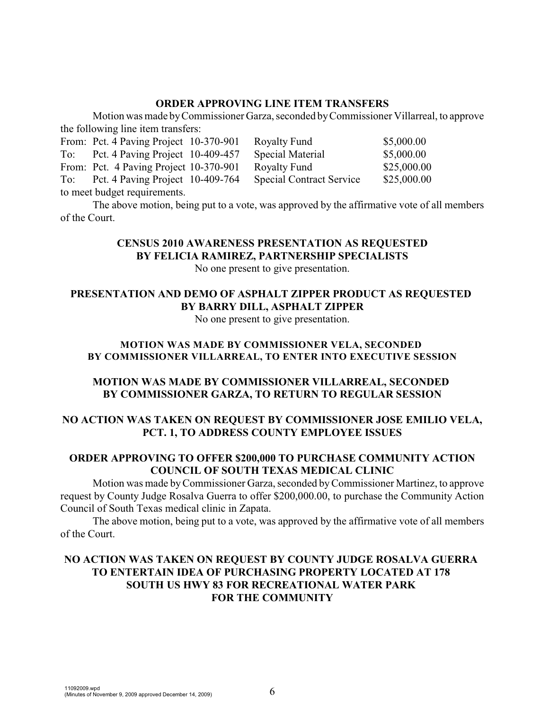### **ORDER APPROVING LINE ITEM TRANSFERS**

Motion was made byCommissioner Garza, seconded byCommissioner Villarreal, to approve the following line item transfers:

|                              | From: Pct. 4 Paving Project 10-370-901 |  | Royalty Fund                    | \$5,000.00  |  |
|------------------------------|----------------------------------------|--|---------------------------------|-------------|--|
|                              | To: Pct. 4 Paving Project 10-409-457   |  | <b>Special Material</b>         | \$5,000.00  |  |
|                              | From: Pct. 4 Paving Project 10-370-901 |  | Royalty Fund                    | \$25,000.00 |  |
|                              | To: Pct. 4 Paving Project 10-409-764   |  | <b>Special Contract Service</b> | \$25,000.00 |  |
| to meet budget requirements. |                                        |  |                                 |             |  |

The above motion, being put to a vote, was approved by the affirmative vote of all members of the Court.

# **CENSUS 2010 AWARENESS PRESENTATION AS REQUESTED BY FELICIA RAMIREZ, PARTNERSHIP SPECIALISTS**

No one present to give presentation.

### **PRESENTATION AND DEMO OF ASPHALT ZIPPER PRODUCT AS REQUESTED BY BARRY DILL, ASPHALT ZIPPER**

No one present to give presentation.

# **MOTION WAS MADE BY COMMISSIONER VELA, SECONDED BY COMMISSIONER VILLARREAL, TO ENTER INTO EXECUTIVE SESSION**

# **MOTION WAS MADE BY COMMISSIONER VILLARREAL, SECONDED BY COMMISSIONER GARZA, TO RETURN TO REGULAR SESSION**

# **NO ACTION WAS TAKEN ON REQUEST BY COMMISSIONER JOSE EMILIO VELA, PCT. 1, TO ADDRESS COUNTY EMPLOYEE ISSUES**

# **ORDER APPROVING TO OFFER \$200,000 TO PURCHASE COMMUNITY ACTION COUNCIL OF SOUTH TEXAS MEDICAL CLINIC**

Motion was made byCommissioner Garza, seconded by Commissioner Martinez, to approve request by County Judge Rosalva Guerra to offer \$200,000.00, to purchase the Community Action Council of South Texas medical clinic in Zapata.

The above motion, being put to a vote, was approved by the affirmative vote of all members of the Court.

# **NO ACTION WAS TAKEN ON REQUEST BY COUNTY JUDGE ROSALVA GUERRA TO ENTERTAIN IDEA OF PURCHASING PROPERTY LOCATED AT 178 SOUTH US HWY 83 FOR RECREATIONAL WATER PARK FOR THE COMMUNITY**